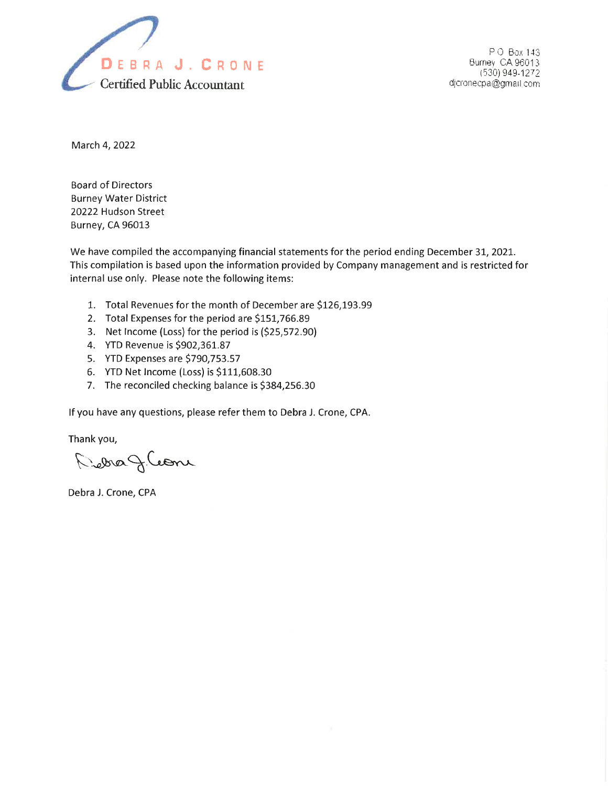

P O Box 143 Burney CA 96013 1530) 949-1272 djcronecpa@gmail.com

March 4,2022

Board of Directors Burney Water District 20222 Hudson Street Burney, CA 96013

We have compiled the accompanying financial statements for the period ending December 31, 2021. This compilation is based upon the information provided by Company management and is restricted for internal use only. Please note the following items:

- 1. Total Revenues for the month of December are \$126,193.99
- 2. Total Expenses for the period are \$151,766.89
- 3. Net lncome (Loss) for the period is (525,572.90)
- 4. YTD Revenue is \$902,361.87
- 5. YTD Expenses are 5790,753.57
- 6. YTD Net Income (Loss) is  $$111,608.30$
- 7. The reconciled checking balance is \$384,256.30

lf you have any questions, please refer them to Debra J. Crone, CPA.

Thank you,

Richa J.Coone

Debra J. Crone, CPA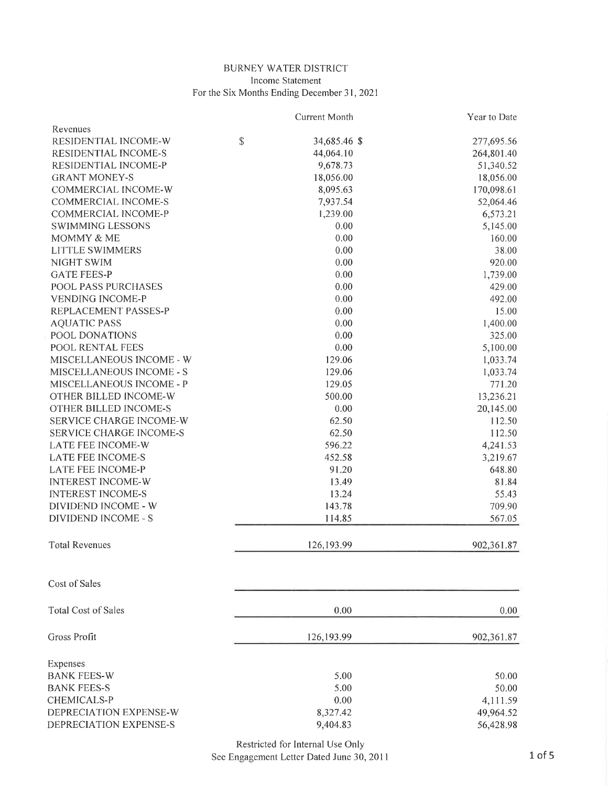## BURNEY WATER DISTRICT Income Statement For the Six Months Ending December 31,2021

|                                | Current Month      | Year to Date |
|--------------------------------|--------------------|--------------|
| Revenues                       |                    |              |
| RESIDENTIAL INCOME-W           | \$<br>34,685.46 \$ | 277,695.56   |
| RESIDENTIAL INCOME-S           | 44,064.10          | 264,801.40   |
| RESIDENTIAL INCOME-P           | 9,678.73           | 51,340.52    |
| <b>GRANT MONEY-S</b>           | 18,056.00          | 18,056.00    |
| COMMERCIAL INCOME-W            | 8,095.63           | 170,098.61   |
| COMMERCIAL INCOME-S            | 7,937.54           | 52,064.46    |
| COMMERCIAL INCOME-P            | 1,239.00           | 6,573.21     |
| <b>SWIMMING LESSONS</b>        | 0.00               | 5,145.00     |
| MOMMY & ME                     | 0.00               | 160.00       |
| <b>LITTLE SWIMMERS</b>         | 0.00               | 38.00        |
| NIGHT SWIM                     | 0.00               | 920.00       |
| <b>GATE FEES-P</b>             | 0.00               | 1,739.00     |
| POOL PASS PURCHASES            | 0.00               | 429.00       |
| <b>VENDING INCOME-P</b>        | 0.00               | 492.00       |
| REPLACEMENT PASSES-P           | 0.00               | 15.00        |
| <b>AQUATIC PASS</b>            | 0.00               | 1,400.00     |
| POOL DONATIONS                 | 0.00               | 325.00       |
| POOL RENTAL FEES               | 0.00               | 5,100.00     |
| MISCELLANEOUS INCOME - W       | 129.06             | 1,033.74     |
| MISCELLANEOUS INCOME - S       | 129.06             | 1,033.74     |
| MISCELLANEOUS INCOME - P       | 129.05             | 771.20       |
| OTHER BILLED INCOME-W          | 500.00             | 13,236.21    |
| OTHER BILLED INCOME-S          | 0.00               | 20,145.00    |
| SERVICE CHARGE INCOME-W        | 62.50              | 112.50       |
| SERVICE CHARGE INCOME-S        | 62.50              | 112.50       |
| LATE FEE INCOME-W              | 596.22             | 4,241.53     |
| <b>LATE FEE INCOME-S</b>       | 452.58             | 3,219.67     |
| LATE FEE INCOME-P              | 91.20              | 648.80       |
| <b>INTEREST INCOME-W</b>       | 13.49              | 81.84        |
| <b>INTEREST INCOME-S</b>       | 13.24              | 55.43        |
| DIVIDEND INCOME - W            | 143.78             | 709.90       |
| <b>DIVIDEND INCOME - S</b>     | 114.85             | 567.05       |
|                                |                    |              |
| <b>Total Revenues</b>          | 126,193.99         | 902,361.87   |
| Cost of Sales                  |                    |              |
|                                |                    |              |
| <b>Total Cost of Sales</b>     | 0.00               | 0.00         |
| Gross Profit                   | 126, 193.99        | 902,361.87   |
|                                |                    |              |
| Expenses<br><b>BANK FEES-W</b> |                    |              |
|                                | 5.00               | 50.00        |
| <b>BANK FEES-S</b>             | 5.00               | 50.00        |
| <b>CHEMICALS-P</b>             | 0.00               | 4,111.59     |
| DEPRECIATION EXPENSE-W         | 8,327.42           | 49,964.52    |
| DEPRECIATION EXPENSE-S         | 9,404.83           | 56,428.98    |

Restricted for Internal Use Only See Engagement Letter Dated June 30,2011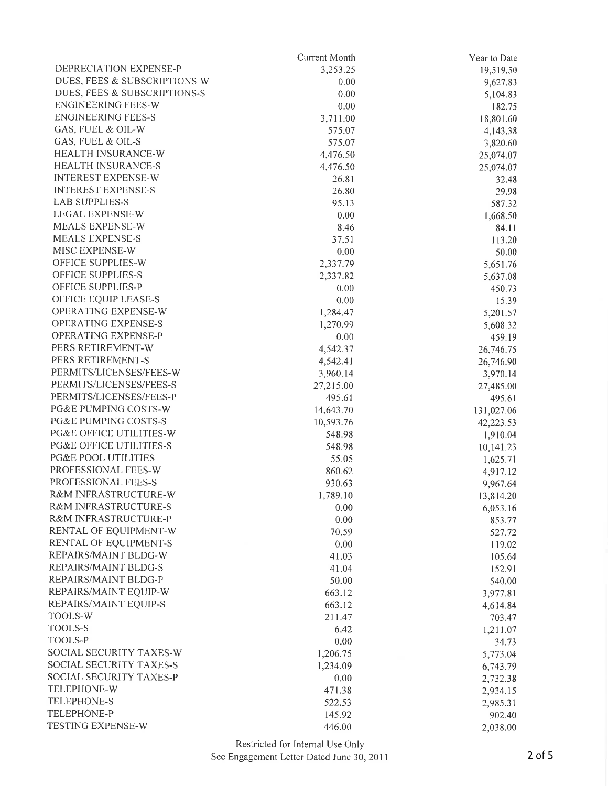|                                    | Current Month   | Year to Date |
|------------------------------------|-----------------|--------------|
| DEPRECIATION EXPENSE-P             | 3,253.25        | 19,519.50    |
| DUES, FEES & SUBSCRIPTIONS-W       | 0.00            | 9,627.83     |
| DUES, FEES & SUBSCRIPTIONS-S       | 0.00            | 5,104.83     |
| <b>ENGINEERING FEES-W</b>          | 0.00            | 182.75       |
| <b>ENGINEERING FEES-S</b>          | 3,711.00        | 18,801.60    |
| GAS, FUEL & OIL-W                  | 575.07          | 4,143.38     |
| GAS, FUEL & OIL-S                  | 575.07          | 3,820.60     |
| HEALTH INSURANCE-W                 | 4,476.50        | 25,074.07    |
| HEALTH INSURANCE-S                 | 4,476.50        | 25,074.07    |
| <b>INTEREST EXPENSE-W</b>          | 26.81           | 32.48        |
| <b>INTEREST EXPENSE-S</b>          | 26.80           | 29.98        |
| <b>LAB SUPPLIES-S</b>              | 95.13           | 587.32       |
| <b>LEGAL EXPENSE-W</b>             | 0.00            | 1,668.50     |
| MEALS EXPENSE-W                    | 8.46            | 84.11        |
| <b>MEALS EXPENSE-S</b>             | 37.51           | 113.20       |
| MISC EXPENSE-W                     | 0.00            | 50.00        |
| OFFICE SUPPLIES-W                  | 2,337.79        | 5,651.76     |
| <b>OFFICE SUPPLIES-S</b>           | 2,337.82        | 5,637.08     |
| OFFICE SUPPLIES-P                  | 0.00            | 450.73       |
| OFFICE EQUIP LEASE-S               | 0.00            | 15.39        |
| OPERATING EXPENSE-W                | 1,284.47        | 5,201.57     |
| <b>OPERATING EXPENSE-S</b>         | 1,270.99        | 5,608.32     |
| OPERATING EXPENSE-P                | 0.00            | 459.19       |
| PERS RETIREMENT-W                  | 4,542.37        | 26,746.75    |
| PERS RETIREMENT-S                  | 4,542.41        | 26,746.90    |
| PERMITS/LICENSES/FEES-W            | 3,960.14        | 3,970.14     |
| PERMITS/LICENSES/FEES-S            | 27,215.00       | 27,485.00    |
| PERMITS/LICENSES/FEES-P            | 495.61          | 495.61       |
| PG&E PUMPING COSTS-W               | 14,643.70       | 131,027.06   |
| PG&E PUMPING COSTS-S               | 10,593.76       | 42,223.53    |
| PG&E OFFICE UTILITIES-W            | 548.98          | 1,910.04     |
| <b>PG&amp;E OFFICE UTILITIES-S</b> | 548.98          | 10,141.23    |
| <b>PG&amp;E POOL UTILITIES</b>     | 55.05           | 1,625.71     |
| PROFESSIONAL FEES-W                | 860.62          | 4,917.12     |
| PROFESSIONAL FEES-S                | 930.63          | 9,967.64     |
| R&M INFRASTRUCTURE-W               | 1,789.10        | 13,814.20    |
| R&M INFRASTRUCTURE-S               | 0.00            | 6,053.16     |
| R&M INFRASTRUCTURE-P               | 0.00            | 853.77       |
| RENTAL OF EQUIPMENT-W              | 70.59           | 527.72       |
| RENTAL OF EQUIPMENT-S              | 0.00            | 119.02       |
| REPAIRS/MAINT BLDG-W               | 41.03           | 105.64       |
| REPAIRS/MAINT BLDG-S               | 41.04           |              |
| REPAIRS/MAINT BLDG-P               |                 | 152.91       |
| REPAIRS/MAINT EQUIP-W              | 50.00<br>663.12 | 540.00       |
| REPAIRS/MAINT EQUIP-S              |                 | 3,977.81     |
| TOOLS-W                            | 663.12          | 4,614.84     |
| <b>TOOLS-S</b>                     | 211.47          | 703.47       |
|                                    | 6.42            | 1,211.07     |
| TOOLS-P                            | 0.00            | 34.73        |
| SOCIAL SECURITY TAXES-W            | 1,206.75        | 5,773.04     |
| SOCIAL SECURITY TAXES-S            | 1,234.09        | 6,743.79     |
| SOCIAL SECURITY TAXES-P            | 0.00            | 2,732.38     |
| TELEPHONE-W                        | 471.38          | 2,934.15     |
| TELEPHONE-S                        | 522.53          | 2,985.31     |
| TELEPHONE-P                        | 145.92          | 902.40       |
| TESTING EXPENSE-W                  | 446.00          | 2,038.00     |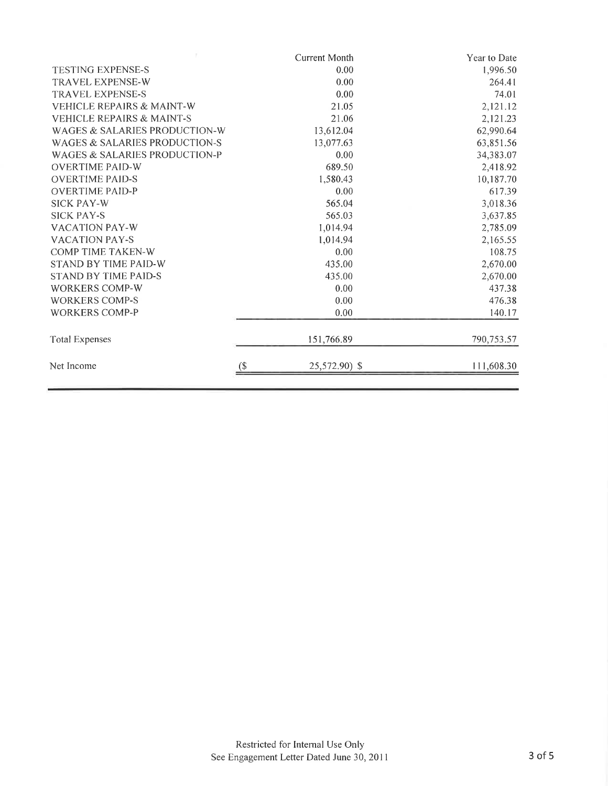|                                      |        | <b>Current Month</b> | Year to Date |
|--------------------------------------|--------|----------------------|--------------|
| <b>TESTING EXPENSE-S</b>             |        | 0.00                 | 1,996.50     |
| <b>TRAVEL EXPENSE-W</b>              |        | 0.00                 | 264.41       |
| <b>TRAVEL EXPENSE-S</b>              |        | 0.00                 | 74.01        |
| <b>VEHICLE REPAIRS &amp; MAINT-W</b> |        | 21.05                | 2,121.12     |
| <b>VEHICLE REPAIRS &amp; MAINT-S</b> |        | 21.06                | 2,121.23     |
| WAGES & SALARIES PRODUCTION-W        |        | 13,612.04            | 62,990.64    |
| WAGES & SALARIES PRODUCTION-S        |        | 13,077.63            | 63,851.56    |
| WAGES & SALARIES PRODUCTION-P        |        | 0.00                 | 34,383.07    |
| <b>OVERTIME PAID-W</b>               |        | 689.50               | 2,418.92     |
| <b>OVERTIME PAID-S</b>               |        | 1,580.43             | 10,187.70    |
| <b>OVERTIME PAID-P</b>               |        | 0.00                 | 617.39       |
| <b>SICK PAY-W</b>                    |        | 565.04               | 3,018.36     |
| <b>SICK PAY-S</b>                    |        | 565.03               | 3,637.85     |
| <b>VACATION PAY-W</b>                |        | 1,014.94             | 2,785.09     |
| <b>VACATION PAY-S</b>                |        | 1,014.94             | 2,165.55     |
| <b>COMP TIME TAKEN-W</b>             |        | 0.00                 | 108.75       |
| <b>STAND BY TIME PAID-W</b>          |        | 435.00               | 2,670.00     |
| <b>STAND BY TIME PAID-S</b>          |        | 435.00               | 2,670.00     |
| <b>WORKERS COMP-W</b>                |        | 0.00                 | 437.38       |
| <b>WORKERS COMP-S</b><br>0.00        |        |                      | 476.38       |
| <b>WORKERS COMP-P</b>                |        | 0.00                 | 140.17       |
| <b>Total Expenses</b>                |        | 151,766.89           | 790,753.57   |
| Net Income                           | $($ \$ | 25,572.90) \$        | 111,608.30   |
|                                      |        |                      |              |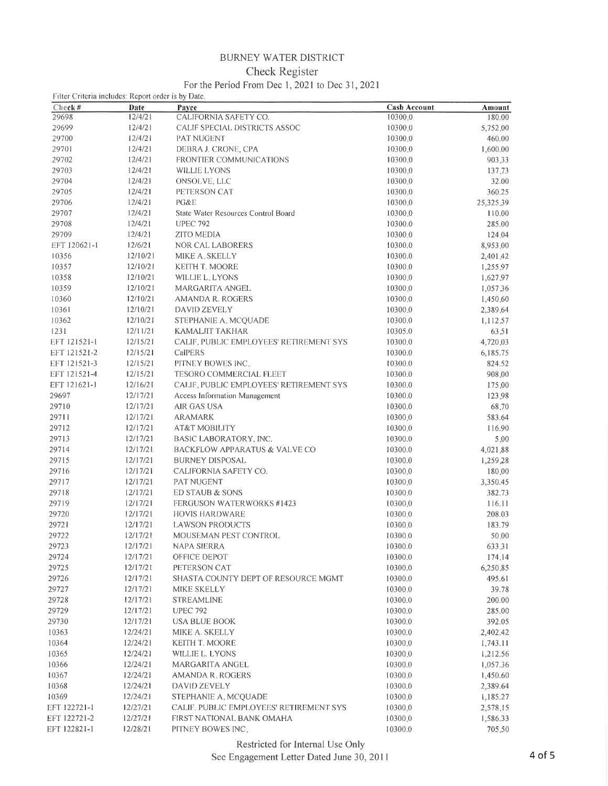## **BURNEY WATER DISTRICT**

## Check Register

## For the Period From Dec 1, 2021 to Dec 31, 2021

| Filter Criteria includes: Report order is by Date.<br>Check # | Date     | Pavee                                                             | <b>Cash Account</b> | Amount    |
|---------------------------------------------------------------|----------|-------------------------------------------------------------------|---------------------|-----------|
| 29698                                                         | 12/4/21  | CALIFORNIA SAFETY CO.                                             | 10300.0             | 180.00    |
| 29699                                                         | 12/4/21  | CALIF SPECIAL DISTRICTS ASSOC                                     | 10300.0             | 5,752.00  |
| 29700                                                         | 12/4/21  | PAT NUGENT                                                        | 10300.0             | 460.00    |
| 29701                                                         | 12/4/21  | DEBRA J. CRONE, CPA                                               | 10300,0             | 1,600.00  |
| 29702                                                         | 12/4/21  | <b>FRONTIER COMMUNICATIONS</b>                                    | 10300.0             | 903.33    |
| 29703                                                         | 12/4/21  | WILLIE LYONS                                                      | 10300,0             | 137.73    |
| 29704                                                         | 12/4/21  | ONSOLVE, LLC                                                      | 10300.0             | 32.00     |
| 29705                                                         | 12/4/21  | PETERSON CAT                                                      | 10300.0             | 360.25    |
| 29706                                                         | 12/4/21  | PG&E                                                              | 10300,0             | 25,325,39 |
| 29707                                                         | 12/4/21  | State Water Resources Control Board                               | 10300.0             | 110.00    |
| 29708                                                         | 12/4/21  | <b>UPEC 792</b>                                                   | 10300.0             | 285.00    |
| 29709                                                         | 12/4/21  | ZITO MEDIA                                                        | 10300.0             | 124.04    |
| EFT 120621-1                                                  | 12/6/21  | NOR CAL LABORERS                                                  | 10300.0             | 8,953,00  |
| 10356                                                         | 12/10/21 | MIKE A. SKELLY                                                    | 10300.0             | 2,401.42  |
| 10357                                                         | 12/10/21 | KEITH T. MOORE                                                    | 10300.0             | 1,255,97  |
| 10358                                                         | 12/10/21 | WILLIE L. LYONS                                                   | 10300.0             | 1,627.97  |
| 10359                                                         | 12/10/21 | MARGARITA ANGEL                                                   | 10300.0             | 1,057.36  |
| 10360                                                         | 12/10/21 | <b>AMANDA R. ROGERS</b>                                           | 10300.0             |           |
| 10361                                                         | 12/10/21 | DAVID ZEVELY                                                      | 10300.0             | 1,450.60  |
| 10362                                                         | 12/10/21 | STEPHANIE A. MCQUADE                                              | 10300.0             | 2,389.64  |
|                                                               |          |                                                                   |                     | 1,112,57  |
| 1231                                                          | 12/11/21 | <b>KAMALJIT TAKHAR</b><br>CALIF. PUBLIC EMPLOYEES' RETIREMENT SYS | 10305.0             | 63,51     |
| EFT 121521-1                                                  | 12/15/21 |                                                                   | 10300.0             | 4,720,03  |
| EFT 121521-2                                                  | 12/15/21 | CalPERS                                                           | 10300.0             | 6,185.75  |
| EFT 121521-3                                                  | 12/15/21 | PITNEY BOWES INC.                                                 | 10300.0             | 824.52    |
| EFT 121521-4                                                  | 12/15/21 | TESORO COMMERCIAL FLEET                                           | 10300.0             | 908,00    |
| EFT 121621-1                                                  | 12/16/21 | CALIF, PUBLIC EMPLOYEES' RETIREMENT SYS                           | 10300.0             | 175,00    |
| 29697                                                         | 12/17/21 | <b>Access Information Management</b>                              | 10300.0             | 123,98    |
| 29710                                                         | 12/17/21 | AIR GAS USA                                                       | 10300.0             | 68.70     |
| 29711                                                         | 12/17/21 | <b>ARAMARK</b>                                                    | 10300.0             | 583.64    |
| 29712                                                         | 12/17/21 | AT&T MOBILITY                                                     | 10300.0             | 116.90    |
| 29713                                                         | 12/17/21 | BASIC LABORATORY, INC.                                            | 10300.0             | 5,00      |
| 29714                                                         | 12/17/21 | <b>BACKFLOW APPARATUS &amp; VALVE CO</b>                          | 10300.0             | 4,021.88  |
| 29715                                                         | 12/17/21 | <b>BURNEY DISPOSAL</b>                                            | 10300.0             | 1,259.28  |
| 29716                                                         | 12/17/21 | CALIFORNIA SAFETY CO.                                             | 10300.0             | 180.00    |
| 29717                                                         | 12/17/21 | PAT NUGENT                                                        | 10300.0             | 3,350.45  |
| 29718                                                         | 12/17/21 | ED STAUB & SONS                                                   | 10300.0             | 382.73    |
| 29719                                                         | 12/17/21 | FERGUSON WATERWORKS #1423                                         | 10300.0             | 116.11    |
| 29720                                                         | 12/17/21 | <b>HOVIS HARDWARE</b>                                             | 10300.0             | 208.03    |
| 29721                                                         | 12/17/21 | <b>LAWSON PRODUCTS</b>                                            | 10300.0             | 183.79    |
| 29722                                                         | 12/17/21 | MOUSEMAN PEST CONTROL                                             | 10300.0             | 50,00     |
| 29723                                                         | 12/17/21 | NAPA SIERRA                                                       | 10300.0             | 633,31    |
| 29724                                                         | 12/17/21 | OFFICE DEPOT                                                      | 10300.0             | 174.14    |
| 29725                                                         | 12/17/21 | PETERSON CAT                                                      | 10300.0             | 6,250.85  |
| 29726                                                         | 12/17/21 | SHASTA COUNTY DEPT OF RESOURCE MGMT                               | 10300.0             | 495.61    |
| 29727                                                         | 12/17/21 | MIKE SKELLY                                                       | 10300.0             | 39.78     |
| 29728                                                         | 12/17/21 | <b>STREAMLINE</b>                                                 | 10300.0             | 200.00    |
| 29729                                                         | 12/17/21 | <b>UPEC 792</b>                                                   | 10300.0             | 285.00    |
| 29730                                                         | 12/17/21 | <b>USA BLUE BOOK</b>                                              | 10300.0             | 392.05    |
| 10363                                                         | 12/24/21 | MIKE A. SKELLY                                                    | 10300.0             | 2,402.42  |
| 10364                                                         | 12/24/21 | KEITH T. MOORE                                                    | 10300.0             | 1,743.11  |
| 10365                                                         | 12/24/21 | WILLIE L. LYONS                                                   | 10300.0             | 1,212.56  |
| 10366                                                         | 12/24/21 | MARGARITA ANGEL                                                   | 10300.0             | 1,057.36  |
| 10367                                                         | 12/24/21 | <b>AMANDA R. ROGERS</b>                                           | 10300.0             | 1,450.60  |
| 10368                                                         | 12/24/21 | DAVID ZEVELY                                                      | 10300.0             | 2,389.64  |
| 10369                                                         | 12/24/21 | STEPHANIE A. MCQUADE                                              | 10300.0             | 1,185.27  |
| EFT 122721-1                                                  | 12/27/21 | CALIF. PUBLIC EMPLOYEES' RETIREMENT SYS                           | 10300.0             | 2,578.15  |
| EFT 122721-2                                                  | 12/27/21 | FIRST NATIONAL BANK OMAHA                                         | 10300.0             | 1,586.33  |
| EFT 122821-1                                                  | 12/28/21 | PITNEY BOWES INC.                                                 | 10300.0             | 705.50    |

Restricted for Internal Use Only